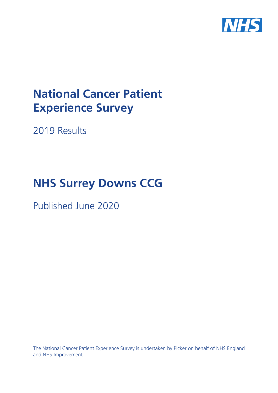

# **National Cancer Patient Experience Survey**

2019 Results

# **NHS Surrey Downs CCG**

Published June 2020

The National Cancer Patient Experience Survey is undertaken by Picker on behalf of NHS England and NHS Improvement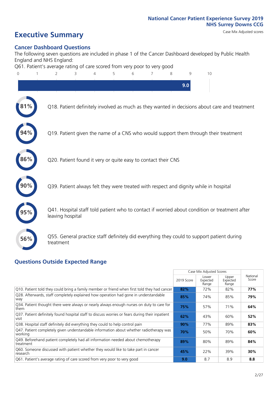### **Executive Summary** Case Mix Adjusted scores

#### **Cancer Dashboard Questions**

The following seven questions are included in phase 1 of the Cancer Dashboard developed by Public Health England and NHS England:

Q61. Patient's average rating of care scored from very poor to very good



#### **Questions Outside Expected Range**

|                                                                                                          |            | Case Mix Adjusted Scores   |                            |                   |
|----------------------------------------------------------------------------------------------------------|------------|----------------------------|----------------------------|-------------------|
|                                                                                                          | 2019 Score | Lower<br>Expected<br>Range | Upper<br>Expected<br>Range | National<br>Score |
| Q10. Patient told they could bring a family member or friend when first told they had cancer             | 82%        | 72%                        | 82%                        | 77%               |
| Q28. Afterwards, staff completely explained how operation had gone in understandable<br>way              | 85%        | 74%                        | 85%                        | 79%               |
| Q34. Patient thought there were always or nearly always enough nurses on duty to care for<br>them        | 75%        | 57%                        | 71%                        | 64%               |
| Q37. Patient definitely found hospital staff to discuss worries or fears during their inpatient<br>visit | 62%        | 43%                        | 60%                        | 52%               |
| Q38. Hospital staff definitely did everything they could to help control pain                            | $90\%$     | 77%                        | 89%                        | 83%               |
| Q47. Patient completely given understandable information about whether radiotherapy was<br>working       | 70%        | 50%                        | 70%                        | 60%               |
| Q49. Beforehand patient completely had all information needed about chemotherapy<br>treatment            | 89%        | 80%                        | 89%                        | 84%               |
| Q60. Someone discussed with patient whether they would like to take part in cancer<br>research           | 45%        | 22%                        | 39%                        | 30%               |
| Q61. Patient's average rating of care scored from very poor to very good                                 | 9.0        | 8.7                        | 8.9                        | 8.8               |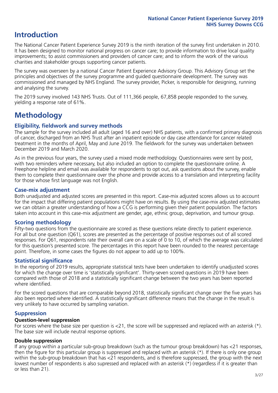### **Introduction**

The National Cancer Patient Experience Survey 2019 is the ninth iteration of the survey first undertaken in 2010. It has been designed to monitor national progress on cancer care; to provide information to drive local quality improvements; to assist commissioners and providers of cancer care; and to inform the work of the various charities and stakeholder groups supporting cancer patients.

The survey was overseen by a national Cancer Patient Experience Advisory Group. This Advisory Group set the principles and objectives of the survey programme and guided questionnaire development. The survey was commissioned and managed by NHS England. The survey provider, Picker, is responsible for designing, running and analysing the survey.

The 2019 survey involved 143 NHS Trusts. Out of 111,366 people, 67,858 people responded to the survey, yielding a response rate of 61%.

### **Methodology**

#### **Eligibility, eldwork and survey methods**

The sample for the survey included all adult (aged 16 and over) NHS patients, with a confirmed primary diagnosis of cancer, discharged from an NHS Trust after an inpatient episode or day case attendance for cancer related treatment in the months of April, May and June 2019. The fieldwork for the survey was undertaken between December 2019 and March 2020.

As in the previous four years, the survey used a mixed mode methodology. Questionnaires were sent by post, with two reminders where necessary, but also included an option to complete the questionnaire online. A Freephone helpline and email was available for respondents to opt out, ask questions about the survey, enable them to complete their questionnaire over the phone and provide access to a translation and interpreting facility for those whose first language was not English.

#### **Case-mix adjustment**

Both unadjusted and adjusted scores are presented in this report. Case-mix adjusted scores allows us to account for the impact that differing patient populations might have on results. By using the case-mix adjusted estimates we can obtain a greater understanding of how a CCG is performing given their patient population. The factors taken into account in this case-mix adjustment are gender, age, ethnic group, deprivation, and tumour group.

### **Scoring methodology**

Fifty-two questions from the questionnaire are scored as these questions relate directly to patient experience. For all but one question (Q61), scores are presented as the percentage of positive responses out of all scored responses. For Q61, respondents rate their overall care on a scale of 0 to 10, of which the average was calculated for this question's presented score. The percentages in this report have been rounded to the nearest percentage point. Therefore, in some cases the figures do not appear to add up to 100%.

#### **Statistical significance**

In the reporting of 2019 results, appropriate statistical tests have been undertaken to identify unadjusted scores for which the change over time is 'statistically significant'. Thirty-seven scored questions in 2019 have been compared with those of 2018 and a statistically significant change between the two years has been reported where identified.

For the scored questions that are comparable beyond 2018, statistically significant change over the five years has also been reported where identified. A statistically significant difference means that the change in the result is very unlikely to have occurred by sampling variation.

#### **Suppression**

#### **Question-level suppression**

For scores where the base size per question is  $<$ 21, the score will be suppressed and replaced with an asterisk (\*). The base size will include neutral response options.

#### **Double suppression**

If any group within a particular sub-group breakdown (such as the tumour group breakdown) has <21 responses, then the figure for this particular group is suppressed and replaced with an asterisk (\*). If there is only one group within the sub-group breakdown that has <21 respondents, and is therefore suppressed, the group with the next lowest number of respondents is also supressed and replaced with an asterisk (\*) (regardless if it is greater than or less than 21).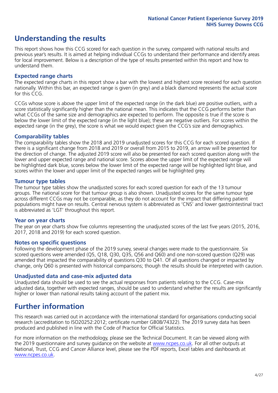### **Understanding the results**

This report shows how this CCG scored for each question in the survey, compared with national results and previous year's results. It is aimed at helping individual CCGs to understand their performance and identify areas for local improvement. Below is a description of the type of results presented within this report and how to understand them.

#### **Expected range charts**

The expected range charts in this report show a bar with the lowest and highest score received for each question nationally. Within this bar, an expected range is given (in grey) and a black diamond represents the actual score for this CCG.

CCGs whose score is above the upper limit of the expected range (in the dark blue) are positive outliers, with a score statistically significantly higher than the national mean. This indicates that the CCG performs better than what CCGs of the same size and demographics are expected to perform. The opposite is true if the score is below the lower limit of the expected range (in the light blue); these are negative outliers. For scores within the expected range (in the grey), the score is what we would expect given the CCG's size and demographics.

#### **Comparability tables**

The comparability tables show the 2018 and 2019 unadjusted scores for this CCG for each scored question. If there is a significant change from 2018 and 2019 or overall from 2015 to 2019, an arrow will be presented for the direction of change. The adjusted 2019 score will also be presented for each scored question along with the lower and upper expected range and national score. Scores above the upper limit of the expected range will be highlighted dark blue, scores below the lower limit of the expected range will be highlighted light blue, and scores within the lower and upper limit of the expected ranges will be highlighted grey.

#### **Tumour type tables**

The tumour type tables show the unadjusted scores for each scored question for each of the 13 tumour groups. The national score for that tumour group is also shown. Unadjusted scores for the same tumour type across different CCGs may not be comparable, as they do not account for the impact that differing patient populations might have on results. Central nervous system is abbreviated as 'CNS' and lower gastrointestinal tract is abbreviated as 'LGT' throughout this report.

#### **Year on year charts**

The year on year charts show five columns representing the unadjusted scores of the last five years (2015, 2016, 2017, 2018 and 2019) for each scored question.

#### **Notes on specific questions**

Following the development phase of the 2019 survey, several changes were made to the questionnaire. Six scored questions were amended (Q5, Q18, Q30, Q35, Q56 and Q60) and one non-scored question (Q29) was amended that impacted the comparability of questions Q30 to Q41. Of all questions changed or impacted by change, only Q60 is presented with historical comparisons; though the results should be interpreted with caution.

#### **Unadjusted data and case-mix adjusted data**

Unadjusted data should be used to see the actual responses from patients relating to the CCG. Case-mix adjusted data, together with expected ranges, should be used to understand whether the results are significantly higher or lower than national results taking account of the patient mix.

### **Further information**

This research was carried out in accordance with the international standard for organisations conducting social research (accreditation to ISO20252:2012; certificate number GB08/74322). The 2019 survey data has been produced and published in line with the Code of Practice for Official Statistics.

For more information on the methodology, please see the Technical Document. It can be viewed along with the 2019 questionnaire and survey quidance on the website at [www.ncpes.co.uk](https://www.ncpes.co.uk/supporting-documents). For all other outputs at National, Trust, CCG and Cancer Alliance level, please see the PDF reports, Excel tables and dashboards at [www.ncpes.co.uk.](https://www.ncpes.co.uk/current-results)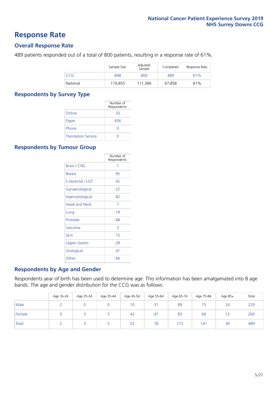### **Response Rate**

#### **Overall Response Rate**

489 patients responded out of a total of 800 patients, resulting in a response rate of 61%.

|          | Sample Size | Adjusted<br>Sample | Completed | Response Rate |
|----------|-------------|--------------------|-----------|---------------|
| CCG      | 848         | 800                | 489       | 61%           |
| National | 119,855     | 111,366            | 67,858    | 61%           |

#### **Respondents by Survey Type**

|                            | Number of<br>Respondents |
|----------------------------|--------------------------|
| Online                     | 33                       |
| Paper                      | 456                      |
| Phone                      |                          |
| <b>Translation Service</b> |                          |

#### **Respondents by Tumour Group**

|                      | Number of<br>Respondents |
|----------------------|--------------------------|
| <b>Brain / CNS</b>   | 1                        |
| <b>Breast</b>        | 95                       |
| Colorectal / LGT     | 42                       |
| Gynaecological       | 22                       |
| Haematological       | 82                       |
| <b>Head and Neck</b> | 7                        |
| Lung                 | 19                       |
| Prostate             | 68                       |
| Sarcoma              | 3                        |
| Skin                 | 15                       |
| <b>Upper Gastro</b>  | 28                       |
| Urological           | 41                       |
| Other                | 66                       |

#### **Respondents by Age and Gender**

Respondents year of birth has been used to determine age. This information has been amalgamated into 8 age bands. The age and gender distribution for the CCG was as follows:

|        | Age 16-24 | Age 25-34 | Age 35-44 | Age 45-54 | Age 55-64 | Age 65-74 | Age 75-84 | Age 85+ | Total |
|--------|-----------|-----------|-----------|-----------|-----------|-----------|-----------|---------|-------|
| Male   |           |           |           | 10        | 31        | 89        |           | 24      | 229   |
| Female |           |           |           | 42        | 47        | 83        | 68        |         | 260   |
| Total  |           |           |           | 52        | 78        | 172       | 141       | 36      | 489   |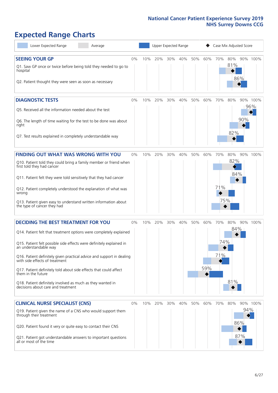## **Expected Range Charts**

| Lower Expected Range<br>Average                                                                                                                                                                                                                                                                                                                                                                                                                                                                                             |    |     | Upper Expected Range |     |     |     |            | Case Mix Adjusted Score |                      |                   |                 |
|-----------------------------------------------------------------------------------------------------------------------------------------------------------------------------------------------------------------------------------------------------------------------------------------------------------------------------------------------------------------------------------------------------------------------------------------------------------------------------------------------------------------------------|----|-----|----------------------|-----|-----|-----|------------|-------------------------|----------------------|-------------------|-----------------|
| <b>SEEING YOUR GP</b><br>Q1. Saw GP once or twice before being told they needed to go to<br>hospital<br>Q2. Patient thought they were seen as soon as necessary                                                                                                                                                                                                                                                                                                                                                             | 0% | 10% | 20%                  | 30% | 40% | 50% | 60%        | 70%                     | 80%<br>81%           | 86%               | 90% 100%        |
| <b>DIAGNOSTIC TESTS</b><br>Q5. Received all the information needed about the test<br>Q6. The length of time waiting for the test to be done was about<br>right<br>Q7. Test results explained in completely understandable way                                                                                                                                                                                                                                                                                               | 0% | 10% | 20%                  | 30% | 40% | 50% | 60%        | 70%                     | 80%<br>82%           | 90%               | 90% 100%<br>96% |
| <b>FINDING OUT WHAT WAS WRONG WITH YOU</b><br>Q10. Patient told they could bring a family member or friend when<br>first told they had cancer<br>Q11. Patient felt they were told sensitively that they had cancer<br>Q12. Patient completely understood the explanation of what was<br>wrong<br>Q13. Patient given easy to understand written information about<br>the type of cancer they had                                                                                                                             | 0% | 10% | 20%                  | 30% | 40% | 50% | 60%        | 70%<br>71%<br>75%       | 80%<br>82%<br>84%    |                   | 90% 100%        |
| <b>DECIDING THE BEST TREATMENT FOR YOU</b><br>Q14. Patient felt that treatment options were completely explained<br>Q15. Patient felt possible side effects were definitely explained in<br>an understandable way<br>Q16. Patient definitely given practical advice and support in dealing<br>with side effects of treatment<br>Q17. Patient definitely told about side effects that could affect<br>them in the future<br>Q18. Patient definitely involved as much as they wanted in<br>decisions about care and treatment | 0% | 10% | 20%                  | 30% | 40% | 50% | 60%<br>59% | 70%<br>74%<br>71%       | 80%<br>$84\%$<br>81% |                   | 90% 100%        |
| <b>CLINICAL NURSE SPECIALIST (CNS)</b><br>Q19. Patient given the name of a CNS who would support them<br>through their treatment<br>Q20. Patient found it very or quite easy to contact their CNS<br>Q21. Patient got understandable answers to important questions<br>all or most of the time                                                                                                                                                                                                                              | 0% | 10% | 20%                  | 30% | 40% | 50% | 60%        | 70%                     | 80%                  | 94%<br>86%<br>87% | 90% 100%        |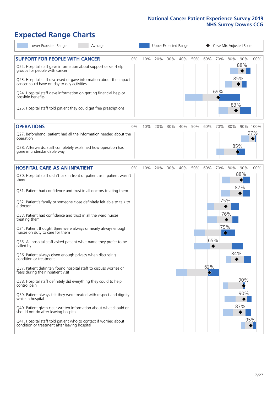### **Expected Range Charts**

| Lower Expected Range<br>Average                                                                                                                                                                                                                                                                                                                         |    |     |     |     | Upper Expected Range |     |     |            | Case Mix Adjusted Score |          |
|---------------------------------------------------------------------------------------------------------------------------------------------------------------------------------------------------------------------------------------------------------------------------------------------------------------------------------------------------------|----|-----|-----|-----|----------------------|-----|-----|------------|-------------------------|----------|
| <b>SUPPORT FOR PEOPLE WITH CANCER</b><br>Q22. Hospital staff gave information about support or self-help<br>groups for people with cancer<br>Q23. Hospital staff discussed or gave information about the impact<br>cancer could have on day to day activities<br>Q24. Hospital staff gave information on getting financial help or<br>possible benefits | 0% | 10% | 20% | 30% | 40%                  | 50% | 60% | 70%<br>69% | 80%<br>88%<br>85%       | 90% 100% |
| Q25. Hospital staff told patient they could get free prescriptions                                                                                                                                                                                                                                                                                      |    |     |     |     |                      |     |     |            | 83%                     |          |
| <b>OPERATIONS</b>                                                                                                                                                                                                                                                                                                                                       | 0% | 10% | 20% | 30% | 40%                  | 50% | 60% | 70%        | 80%                     | 90% 100% |
| Q27. Beforehand, patient had all the information needed about the<br>operation<br>Q28. Afterwards, staff completely explained how operation had                                                                                                                                                                                                         |    |     |     |     |                      |     |     |            | 85%                     | 97%      |
| gone in understandable way                                                                                                                                                                                                                                                                                                                              |    |     |     |     |                      |     |     |            |                         |          |
| <b>HOSPITAL CARE AS AN INPATIENT</b>                                                                                                                                                                                                                                                                                                                    | 0% | 10% | 20% | 30% | 40%                  | 50% | 60% | 70%        | 80%                     | 90% 100% |
| Q30. Hospital staff didn't talk in front of patient as if patient wasn't<br>there                                                                                                                                                                                                                                                                       |    |     |     |     |                      |     |     |            | 88%<br>87%              |          |
| Q31. Patient had confidence and trust in all doctors treating them                                                                                                                                                                                                                                                                                      |    |     |     |     |                      |     |     |            |                         |          |
| Q32. Patient's family or someone close definitely felt able to talk to<br>a doctor                                                                                                                                                                                                                                                                      |    |     |     |     |                      |     |     | 75%        |                         |          |
| Q33. Patient had confidence and trust in all the ward nurses<br>treating them                                                                                                                                                                                                                                                                           |    |     |     |     |                      |     |     |            | 76%                     |          |
| Q34. Patient thought there were always or nearly always enough<br>nurses on duty to care for them                                                                                                                                                                                                                                                       |    |     |     |     |                      |     |     | 75%<br>♦   |                         |          |
| Q35. All hospital staff asked patient what name they prefer to be<br>called by                                                                                                                                                                                                                                                                          |    |     |     |     |                      |     | 65% |            |                         |          |
| Q36. Patient always given enough privacy when discussing<br>condition or treatment                                                                                                                                                                                                                                                                      |    |     |     |     |                      |     |     |            | 84%                     |          |
| Q37. Patient definitely found hospital staff to discuss worries or<br>fears during their inpatient visit                                                                                                                                                                                                                                                |    |     |     |     |                      |     | 62% |            |                         |          |
| Q38. Hospital staff definitely did everything they could to help<br>control pain                                                                                                                                                                                                                                                                        |    |     |     |     |                      |     |     |            |                         | 90%      |
| Q39. Patient always felt they were treated with respect and dignity<br>while in hospital                                                                                                                                                                                                                                                                |    |     |     |     |                      |     |     |            |                         | 90%      |
| Q40. Patient given clear written information about what should or<br>should not do after leaving hospital                                                                                                                                                                                                                                               |    |     |     |     |                      |     |     |            | 87%                     |          |
| Q41. Hospital staff told patient who to contact if worried about<br>condition or treatment after leaving hospital                                                                                                                                                                                                                                       |    |     |     |     |                      |     |     |            |                         | 95%      |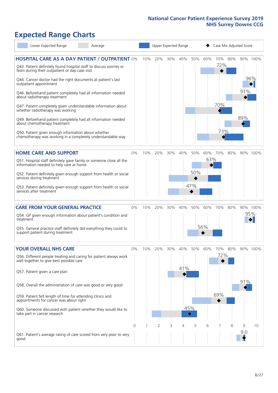## **Expected Range Charts**

| Lower Expected Range                                                                                                                      | Average |       |     |     |     | Upper Expected Range |                                 |     |            |     | Case Mix Adjusted Score |          |
|-------------------------------------------------------------------------------------------------------------------------------------------|---------|-------|-----|-----|-----|----------------------|---------------------------------|-----|------------|-----|-------------------------|----------|
| <b>HOSPITAL CARE AS A DAY PATIENT / OUTPATIENT 0%</b><br>Q43. Patient definitely found hospital staff to discuss worries or               |         |       | 10% | 20% | 30% | 40%                  | 50%                             | 60% | 70%<br>72% | 80% |                         | 90% 100% |
| fears during their outpatient or day case visit<br>Q44. Cancer doctor had the right documents at patient's last<br>outpatient appointment |         |       |     |     |     |                      |                                 |     |            |     |                         | 96%      |
| Q46. Beforehand patient completely had all information needed<br>about radiotherapy treatment                                             |         |       |     |     |     |                      |                                 |     |            |     | 91%                     |          |
| Q47. Patient completely given understandable information about<br>whether radiotherapy was working                                        |         |       |     |     |     |                      |                                 |     | 70%        |     |                         |          |
| Q49. Beforehand patient completely had all information needed<br>about chemotherapy treatment                                             |         |       |     |     |     |                      |                                 |     |            |     | 89%                     |          |
| Q50. Patient given enough information about whether<br>chemotherapy was working in a completely understandable way                        |         |       |     |     |     |                      |                                 |     | 73%        |     |                         |          |
| <b>HOME CARE AND SUPPORT</b>                                                                                                              |         | 0%    | 10% | 20% | 30% | 40%                  | 50%                             | 60% | 70%        | 80% |                         | 90% 100% |
| Q51. Hospital staff definitely gave family or someone close all the<br>information needed to help care at home                            |         |       |     |     |     |                      |                                 | 63% |            |     |                         |          |
| Q52. Patient definitely given enough support from health or social<br>services during treatment                                           |         |       |     |     |     |                      | 50%                             |     |            |     |                         |          |
| Q53. Patient definitely given enough support from health or social<br>services after treatment                                            |         |       |     |     |     |                      | 47%                             |     |            |     |                         |          |
| <b>CARE FROM YOUR GENERAL PRACTICE</b>                                                                                                    |         | $0\%$ | 10% | 20% | 30% | 40%                  | 50%                             | 60% | 70%        | 80% |                         | 90% 100% |
| Q54. GP given enough information about patient's condition and<br>treatment                                                               |         |       |     |     |     |                      |                                 |     |            |     |                         | 95%      |
| Q55. General practice staff definitely did everything they could to<br>support patient during treatment                                   |         |       |     |     |     |                      |                                 | 56% |            |     |                         |          |
| <b>YOUR OVERALL NHS CARE</b>                                                                                                              |         | 0%    | 10% | 20% | 30% | 40%                  | 50%                             | 60% | 70%        | 80% |                         | 90% 100% |
| Q56. Different people treating and caring for patient always work<br>well together to give best possible care                             |         |       |     |     |     |                      |                                 |     | 72%        |     |                         |          |
| Q57. Patient given a care plan                                                                                                            |         |       |     |     |     | 41%                  |                                 |     |            |     |                         |          |
| Q58. Overall the administration of care was good or very good                                                                             |         |       |     |     |     |                      |                                 |     |            |     | 91%                     |          |
| Q59. Patient felt length of time for attending clinics and<br>appointments for cancer was about right                                     |         |       |     |     |     |                      |                                 |     | 69%        |     |                         |          |
| Q60. Someone discussed with patient whether they would like to<br>take part in cancer research                                            |         |       |     |     |     |                      | 45%<br>$\color{black} \diamond$ |     |            |     |                         |          |
|                                                                                                                                           |         | 0     |     | 2   | 3   | 4                    | 5                               | 6   |            | 8   | 9                       | 10       |
| Q61. Patient's average rating of care scored from very poor to very<br>good                                                               |         |       |     |     |     |                      |                                 |     |            |     | 9:0                     |          |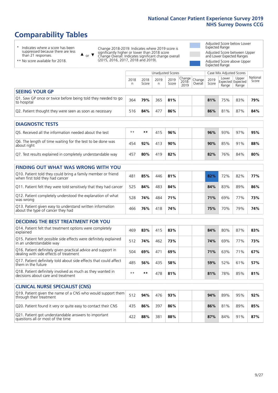### **Comparability Tables**

\* Indicates where a score has been suppressed because there are less than 21 responses.

\*\* No score available for 2018.

 $\triangle$  or  $\nabla$ 

Change 2018-2019: Indicates where 2019 score is significantly higher or lower than 2018 score Change Overall: Indicates significant change overall (2015, 2016, 2017, 2018 and 2019).

Adjusted Score below Lower Expected Range Adjusted Score between Upper and Lower Expected Ranges Adjusted Score above Upper Expected Range

|                                                                             |           |               | Unadjusted Scores |               | Case Mix Adjusted Scores                           |         |               |                |                                     |                   |
|-----------------------------------------------------------------------------|-----------|---------------|-------------------|---------------|----------------------------------------------------|---------|---------------|----------------|-------------------------------------|-------------------|
|                                                                             | 2018<br>n | 2018<br>Score | 2019<br>n         | 2019<br>Score | $\sim$   Change   Change   $\sim$<br>2018-<br>2019 | Overall | 2019<br>Score | Lower<br>Range | Upper<br>Expected Expected<br>Range | National<br>Score |
| <b>SEEING YOUR GP</b>                                                       |           |               |                   |               |                                                    |         |               |                |                                     |                   |
| Q1. Saw GP once or twice before being told they needed to go<br>to hospital | 364       | 79%           | 365               | 81%           |                                                    |         | 81%           | 75%            | 83%                                 | 79%               |
| Q2. Patient thought they were seen as soon as necessary                     | 516       | 84%           | 477               | 86%           |                                                    |         | 86%           | 81%            | 87%                                 | 84%               |

| <b>DIAGNOSTIC TESTS</b>                                                   |      |     |     |     |  |     |     |     |     |
|---------------------------------------------------------------------------|------|-----|-----|-----|--|-----|-----|-----|-----|
| Q5. Received all the information needed about the test                    | $**$ | **  | 415 | 96% |  | 96% | 93% | 97% | 95% |
| Q6. The length of time waiting for the test to be done was<br>about right | 454  | 92% | 413 | 90% |  | 90% | 85% | 91% | 88% |
| Q7. Test results explained in completely understandable way               | 457  | 80% | 419 | 82% |  | 82% | 76% | 84% | 80% |

| <b>FINDING OUT WHAT WAS WRONG WITH YOU</b>                                                      |     |     |     |     |  |     |     |     |     |
|-------------------------------------------------------------------------------------------------|-----|-----|-----|-----|--|-----|-----|-----|-----|
| Q10. Patient told they could bring a family member or friend<br>when first told they had cancer | 481 | 85% | 446 | 81% |  | 82% | 72% | 82% | 77% |
| Q11. Patient felt they were told sensitively that they had cancer                               | 525 | 84% | 483 | 84% |  | 84% | 83% | 89% | 86% |
| Q12. Patient completely understood the explanation of what<br>was wrong                         | 528 | 74% | 484 | 71% |  | 71% | 69% | 77% | 73% |
| Q13. Patient given easy to understand written information<br>about the type of cancer they had  | 466 | 76% | 418 | 74% |  | 75% | 70% | 79% | 74% |

| <b>DECIDING THE BEST TREATMENT FOR YOU</b>                                                              |      |      |     |     |     |     |     |     |
|---------------------------------------------------------------------------------------------------------|------|------|-----|-----|-----|-----|-----|-----|
| Q14. Patient felt that treatment options were completely<br>explained                                   | 469  | 83%  | 415 | 83% | 84% | 80% | 87% | 83% |
| Q15. Patient felt possible side effects were definitely explained<br>in an understandable way           | 512  | 74%  | 462 | 73% | 74% | 69% | 77% | 73% |
| Q16. Patient definitely given practical advice and support in<br>dealing with side effects of treatment | 504  | 69%  | 471 | 69% | 71% | 63% | 71% | 67% |
| Q17. Patient definitely told about side effects that could affect<br>them in the future                 | 485  | 56%  | 435 | 58% | 59% | 52% | 61% | 57% |
| Q18. Patient definitely involved as much as they wanted in<br>decisions about care and treatment        | $**$ | $**$ | 478 | 81% | 81% | 78% | 85% | 81% |

| <b>CLINICAL NURSE SPECIALIST (CNS)</b>                                                    |     |     |     |     |     |     |     |     |
|-------------------------------------------------------------------------------------------|-----|-----|-----|-----|-----|-----|-----|-----|
| Q19. Patient given the name of a CNS who would support them<br>through their treatment    | 512 | 94% | 476 | 93% | 94% | 89% | 95% | 92% |
| Q20. Patient found it very or quite easy to contact their CNS                             | 435 | 86% | 397 | 86% | 86% | 81% | 89% | 85% |
| Q21. Patient got understandable answers to important<br>questions all or most of the time | 422 | 88% | 381 | 88% | 87% | 84% | 91% | 87% |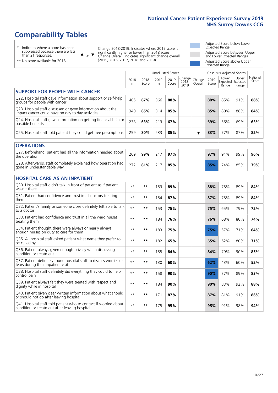### **Comparability Tables**

\* Indicates where a score has been suppressed because there are less than 21 responses.

\*\* No score available for 2018.

 $\triangle$  or  $\nabla$ 

Change 2018-2019: Indicates where 2019 score is significantly higher or lower than 2018 score Change Overall: Indicates significant change overall (2015, 2016, 2017, 2018 and 2019).

Adjusted Score below Lower Expected Range Adjusted Score between Upper and Lower Expected Ranges Adjusted Score above Upper Expected Range

|                                                                                                                   |              |               |            | <b>Unadjusted Scores</b> |                         |                   |               | Case Mix Adjusted Scores            |                |                   |
|-------------------------------------------------------------------------------------------------------------------|--------------|---------------|------------|--------------------------|-------------------------|-------------------|---------------|-------------------------------------|----------------|-------------------|
|                                                                                                                   | 2018<br>n    | 2018<br>Score | 2019<br>n. | 2019<br>Score            | Change<br>2018-<br>2019 | Change<br>Overall | 2019<br>Score | Lower<br>Expected Expected<br>Range | Upper<br>Range | National<br>Score |
| <b>SUPPORT FOR PEOPLE WITH CANCER</b>                                                                             |              |               |            |                          |                         |                   |               |                                     |                |                   |
| Q22. Hospital staff gave information about support or self-help<br>groups for people with cancer                  | 405          | 87%           | 366        | 88%                      |                         |                   | 88%           | 85%                                 | 91%            | 88%               |
| Q23. Hospital staff discussed or gave information about the<br>impact cancer could have on day to day activities  | 340          | 85%           | 314        | 85%                      |                         |                   | 85%           | 80%                                 | 88%            | 84%               |
| Q24. Hospital staff gave information on getting financial help or<br>possible benefits                            | 238          | 63%           | 213        | 67%                      |                         |                   | 69%           | 56%                                 | 69%            | 63%               |
| Q25. Hospital staff told patient they could get free prescriptions                                                | 259          | 80%           | 233        | 85%                      |                         | ▼                 | 83%           | 77%                                 | 87%            | 82%               |
| <b>OPERATIONS</b>                                                                                                 |              |               |            |                          |                         |                   |               |                                     |                |                   |
| Q27. Beforehand, patient had all the information needed about<br>the operation                                    | 269          | 99%           | 217        | 97%                      |                         |                   | 97%           | 94%                                 | 99%            | 96%               |
| Q28. Afterwards, staff completely explained how operation had<br>gone in understandable way                       | 272          | 81%           | 217        | 85%                      |                         |                   | 85%           | 74%                                 | 85%            | 79%               |
| <b>HOSPITAL CARE AS AN INPATIENT</b>                                                                              |              |               |            |                          |                         |                   |               |                                     |                |                   |
| Q30. Hospital staff didn't talk in front of patient as if patient<br>wasn't there                                 | $* *$        | **            | 183        | 89%                      |                         |                   | 88%           | 78%                                 | 89%            | 84%               |
| Q31. Patient had confidence and trust in all doctors treating<br>them                                             | $**$         | $***$         | 184        | 87%                      |                         |                   | 87%           | 78%                                 | 89%            | 84%               |
| Q32. Patient's family or someone close definitely felt able to talk<br>to a doctor                                | $* *$        | **            | 153        | 75%                      |                         |                   | 75%           | 65%                                 | 79%            | 72%               |
| O33. Patient had confidence and trust in all the ward nurses<br>treating them                                     | $**$         | **            | 184        | 76%                      |                         |                   | 76%           | 68%                                 | 80%            | 74%               |
| Q34. Patient thought there were always or nearly always<br>enough nurses on duty to care for them                 | $\star\star$ | **            | 183        | 75%                      |                         |                   | 75%           | 57%                                 | 71%            | 64%               |
| Q35. All hospital staff asked patient what name they prefer to<br>be called by                                    | $* *$        | **            | 182        | 65%                      |                         |                   | 65%           | 62%                                 | 80%            | 71%               |
| Q36. Patient always given enough privacy when discussing<br>condition or treatment                                | $**$         | $***$         | 185        | 84%                      |                         |                   | 84%           | 79%                                 | 90%            | 85%               |
| Q37. Patient definitely found hospital staff to discuss worries or<br>fears during their inpatient visit          | $**$         | **            | 130        | 60%                      |                         |                   | 62%           | 43%                                 | 60%            | 52%               |
| Q38. Hospital staff definitely did everything they could to help<br>control pain                                  | $\star\star$ | $***$         | 158        | 90%                      |                         |                   | 90%           | 77%                                 | 89%            | 83%               |
| Q39. Patient always felt they were treated with respect and<br>dignity while in hospital                          | $***$        | **            | 184        | 90%                      |                         |                   | 90%           | 83%                                 | 92%            | 88%               |
| Q40. Patient given clear written information about what should<br>or should not do after leaving hospital         | $**$         | **            | 171        | 87%                      |                         |                   | 87%           | 81%                                 | 91%            | 86%               |
| Q41. Hospital staff told patient who to contact if worried about<br>condition or treatment after leaving hospital | $**$         | **            | 175        | 95%                      |                         |                   | 95%           | 91%                                 | 98%            | 94%               |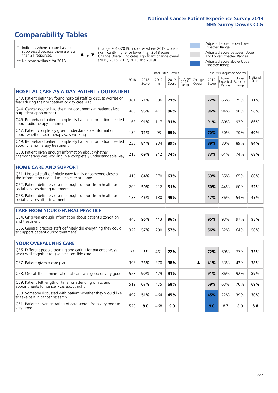### **Comparability Tables**

\* Indicates where a score has been suppressed because there are less than 21 responses.

\*\* No score available for 2018.

 $\triangle$  or  $\nabla$ 

Change 2018-2019: Indicates where 2019 score is significantly higher or lower than 2018 score Change Overall: Indicates significant change overall (2015, 2016, 2017, 2018 and 2019).

Adjusted Score below Lower Expected Range Adjusted Score between Upper and Lower Expected Ranges Adjusted Score above Upper Expected Range

|                                                                                                                       |           |               | <b>Unadjusted Scores</b> |               |                         |                   |               | Case Mix Adjusted Scores            |                |                   |
|-----------------------------------------------------------------------------------------------------------------------|-----------|---------------|--------------------------|---------------|-------------------------|-------------------|---------------|-------------------------------------|----------------|-------------------|
|                                                                                                                       | 2018<br>n | 2018<br>Score | 2019<br>$\mathsf{n}$     | 2019<br>Score | Change<br>2018-<br>2019 | Change<br>Overall | 2019<br>Score | Lower<br>Expected Expected<br>Range | Upper<br>Range | National<br>Score |
| <b>HOSPITAL CARE AS A DAY PATIENT / OUTPATIENT</b>                                                                    |           |               |                          |               |                         |                   |               |                                     |                |                   |
| Q43. Patient definitely found hospital staff to discuss worries or<br>fears during their outpatient or day case visit | 381       | 71%           | 336                      | 71%           |                         |                   | 72%           | 66%                                 | 75%            | 71%               |
| Q44. Cancer doctor had the right documents at patient's last<br>outpatient appointment                                | 468       | 96%           | 411                      | 96%           |                         |                   | 96%           | 94%                                 | 98%            | 96%               |
| Q46. Beforehand patient completely had all information needed<br>about radiotherapy treatment                         | 163       | 91%           | 117                      | 91%           |                         |                   | 91%           | 80%                                 | 93%            | 86%               |
| Q47. Patient completely given understandable information<br>about whether radiotherapy was working                    | 130       | 71%           | 93                       | 69%           |                         |                   | 70%           | 50%                                 | 70%            | 60%               |
| Q49. Beforehand patient completely had all information needed<br>about chemotherapy treatment                         | 238       | 84%           | 234                      | 89%           |                         |                   | 89%           | 80%                                 | 89%            | 84%               |
| Q50. Patient given enough information about whether<br>chemotherapy was working in a completely understandable way    | 218       | 69%           | 212                      | 74%           |                         |                   | 73%           | 61%                                 | 74%            | 68%               |
| <b>HOME CARE AND SUPPORT</b>                                                                                          |           |               |                          |               |                         |                   |               |                                     |                |                   |
| Q51. Hospital staff definitely gave family or someone close all<br>the information needed to help care at home        | 416       | 64%           | 370                      | 63%           |                         |                   | 63%           | 55%                                 | 65%            | 60%               |
| Q52. Patient definitely given enough support from health or<br>social services during treatment                       | 209       | 50%           | 212                      | 51%           |                         |                   | 50%           | 44%                                 | 60%            | 52%               |
| Q53. Patient definitely given enough support from health or<br>social services after treatment                        | 138       | 46%           | 130                      | 49%           |                         |                   | 47%           | 36%                                 | 54%            | 45%               |
| <b>CARE FROM YOUR GENERAL PRACTICE</b>                                                                                |           |               |                          |               |                         |                   |               |                                     |                |                   |
| Q54. GP given enough information about patient's condition<br>and treatment                                           | 446       | 96%           | 413                      | 96%           |                         |                   | 95%           | 93%                                 | 97%            | 95%               |
| Q55. General practice staff definitely did everything they could<br>to support patient during treatment               | 329       | 57%           | 290                      | 57%           |                         |                   | 56%           | 52%                                 | 64%            | 58%               |
| YOUR OVERALL NHS CARE                                                                                                 |           |               |                          |               |                         |                   |               |                                     |                |                   |
| Q56. Different people treating and caring for patient always                                                          | $* *$     | $***$         |                          |               |                         |                   |               |                                     |                |                   |
| work well together to give best possible care                                                                         |           |               | 461                      | 72%           |                         |                   | 72%           | 69%                                 | 77%            | 73%               |
| Q57. Patient given a care plan                                                                                        | 395       | 33%           | 370                      | 38%           |                         | ▲                 | 41%           | 33%                                 | 42%            | 38%               |
| Q58. Overall the administration of care was good or very good                                                         | 523       | 90%           | 479                      | 91%           |                         |                   | 91%           | 86%                                 | 92%            | 89%               |
| Q59. Patient felt length of time for attending clinics and<br>appointments for cancer was about right                 | 519       | 67%           | 475                      | 68%           |                         |                   | 69%           | 63%                                 | 76%            | 69%               |
| Q60. Someone discussed with patient whether they would like<br>to take part in cancer research                        | 492       | 51%           | 464                      | 45%           |                         |                   | 45%           | 22%                                 | 39%            | 30%               |
| Q61. Patient's average rating of care scored from very poor to<br>very good                                           | 520       | 9.0           | 468                      | 9.0           |                         |                   | 9.0           | 8.7                                 | 8.9            | 8.8               |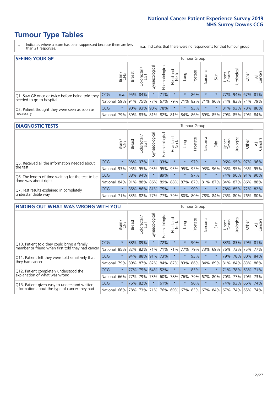- \* Indicates where a score has been suppressed because there are less than 21 responses.
- n.a. Indicates that there were no respondents for that tumour group.

| <b>SEEING YOUR GP</b>                           |            |         |               |                   |                    |                |                  |                 | Tumour Group |         |                                                     |                 |                 |       |                |
|-------------------------------------------------|------------|---------|---------------|-------------------|--------------------|----------------|------------------|-----------------|--------------|---------|-----------------------------------------------------|-----------------|-----------------|-------|----------------|
|                                                 |            | Brain   | <b>Breast</b> | Colorectal<br>LGT | ᠊ᢛ<br>Gynaecologic | Haematological | Head and<br>Neck | Lung            | Prostate     | Sarcoma | Skin                                                | Upper<br>Gastro | Irologica       | Other | All<br>Cancers |
| Q1. Saw GP once or twice before being told they | <b>CCG</b> |         | n.a. 95% 84%  |                   | $\star$            | 71%            | $\star$          | $\star$         | 86%          | $\star$ |                                                     |                 | 77% 94% 67% 81% |       |                |
| needed to go to hospital                        | National   | $59\%$  |               | 94% 75% 77%       |                    |                |                  | 67% 79% 71% 82% |              |         | 71% 90% 74% 83% 74% 79%                             |                 |                 |       |                |
| Q2. Patient thought they were seen as soon as   | <b>CCG</b> | $\star$ |               | 90% 93%           |                    | 90% 78%        | $\star$          | $\star$         | 93%          | $\star$ |                                                     |                 | 81% 93% 78% 86% |       |                |
| necessary                                       | National   | 79%     |               |                   |                    |                |                  |                 |              |         | 89% 83% 81% 82% 81% 84% 86% 69% 85% 79% 85% 79% 84% |                 |                 |       |                |

#### **DIAGNOSTIC TESTS** Tumour Group

|                                                   |                                          | Brain   | <b>Breast</b> | Colorectal<br>LGT | ᅙ<br>Gynaecologic | Haematological | Head and<br>Neck | Lung        | Prostate | Sarcoma | Skin | Upper<br>Gastro | rological                                               | Other | All<br>Cancers |
|---------------------------------------------------|------------------------------------------|---------|---------------|-------------------|-------------------|----------------|------------------|-------------|----------|---------|------|-----------------|---------------------------------------------------------|-------|----------------|
| O5. Received all the information needed about     | <b>CCG</b>                               | $\star$ | 98% 97%       |                   |                   | 93%            | $\star$          | $\star$     | 97%      | $\star$ |      | 96%             | 95% 97% 96%                                             |       |                |
| the test                                          | National                                 | 93%     |               | 95% 95%           |                   | 93% 95%        |                  | 93% 95% 95% |          | 93%     | 96%  |                 | 95% 95% 95% 95%                                         |       |                |
| Q6. The length of time waiting for the test to be | <b>CCG</b>                               | $\star$ |               | 88% 94%           | $\star$           | 89%            | $\star$          | $\star$     | 97%      | $\star$ |      |                 | 74% 90% 91% 90%                                         |       |                |
| done was about right                              | National                                 |         |               |                   |                   |                |                  |             |          |         |      |                 | 84% 91% 88% 86% 89% 88% 87% 87% 81% 87% 84% 87% 86% 88% |       |                |
| Q7. Test results explained in completely          | <b>CCG</b>                               | $\star$ |               | 85% 86% 81% 75%   |                   |                | $\star$          | $\star$     | 90%      | $\star$ |      |                 | 78% 85% 72% 82%                                         |       |                |
| understandable way                                | National 71% 83% 82% 77% 77% 79% 80% 80% |         |               |                   |                   |                |                  |             |          |         |      |                 | 78% 84% 75% 80% 76% 80%                                 |       |                |

| <b>FINDING OUT WHAT WAS WRONG WITH YOU</b>        |            |         |               |                        |                |                | Tumour Group           |                         |          |         |         |                 |            |             |                |
|---------------------------------------------------|------------|---------|---------------|------------------------|----------------|----------------|------------------------|-------------------------|----------|---------|---------|-----------------|------------|-------------|----------------|
|                                                   |            | Brain   | <b>Breast</b> | olorectal.<br>LGT<br>Ū | Gynaecological | Haematological | ad and<br>Neck<br>Head | Lung                    | Prostate | Sarcoma | Skin    | Upper<br>Gastro | Irological | Other       | All<br>Cancers |
| Q10. Patient told they could bring a family       | <b>CCG</b> | $\star$ | 88%           | 89%                    |                | 72%            | $\star$                | $\star$                 | 90%      | $\ast$  | 大       | 83%             | 83%        | 79%         | 81%            |
| member or friend when first told they had cancer  | National   | 85%     | 82%           | 82%                    | 71%            | 71%            | 71%                    | 77%                     | 79%      | 73%     | 69%     | 76%             | 73%        | 75%         | 77%            |
| Q11. Patient felt they were told sensitively that | CCG        | $\star$ | 94%           | 88%                    | 91%            | 73%            | $\star$                | $\star$                 | 93%      | $\ast$  | $\star$ | 79%             | 78%        | 80%         | 84%            |
| they had cancer                                   | National   | 79%     |               |                        | 89% 87% 82%    |                | 84% 87%                | 83%                     | 86%      | 84%     | 89%     | 81%             |            | 84% 83%     | 86%            |
| Q12. Patient completely understood the            | CCG        | $\star$ | 77%           | 75%                    | 64%            | 52%            | $\star$                | $\star$                 | 85%      | $\ast$  | 大       | 71%             |            | 78% 63% 71% |                |
| explanation of what was wrong                     | National   | $66\%$  | 77%           | 79%                    | 73%            | 60%            | 78%                    | 76%                     | 79%      | 67%     | 80%     | 70%             | 77%        | 70%         | 73%            |
| Q13. Patient given easy to understand written     | <b>CCG</b> | $\star$ | 76%           | 82%                    | $\star$        | 61%            | $\star$                | $\star$                 | 90%      | $\star$ | $\ast$  |                 | 74% 93%    | 66% 74%     |                |
| information about the type of cancer they had     | National   | 66%     | 78%           | 73%                    | 71%            | 76%            |                        | 69% 67% 83% 67% 84% 67% |          |         |         |                 | 74%        | 65%         | 74%            |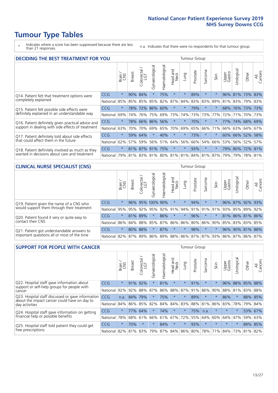- \* Indicates where a score has been suppressed because there are less than 21 responses.
- n.a. Indicates that there were no respondents for that tumour group.

| <b>DECIDING THE BEST TREATMENT FOR YOU</b>         |            |         |               |                       |                |                |                        |         | <b>Tumour Group</b> |                                     |         |                 |             |             |                |
|----------------------------------------------------|------------|---------|---------------|-----------------------|----------------|----------------|------------------------|---------|---------------------|-------------------------------------|---------|-----------------|-------------|-------------|----------------|
|                                                    |            | Brain   | <b>Breast</b> | olorectal<br>LGT<br>Ũ | Gynaecological | Haematological | ad and<br>Neck<br>Head | Lung    | Prostate            | Sarcoma                             | Skin    | Upper<br>Gastro | Jrological  | Other       | All<br>Cancers |
| Q14. Patient felt that treatment options were      | CCG        | $\star$ | $90\%$        | 84%                   | $\star$        | 75%            | $\star$                | $\star$ | 89%                 | $\star$                             |         | 96%             | 81%         | 73%         | 83%            |
| completely explained                               | National   | 85%     | 85%           | 85%                   | 85%            | 82%            | 87%                    | 84%     | 83%                 | 83%                                 | 89%     | 81%             | 83% 79% 83% |             |                |
| Q15. Patient felt possible side effects were       | <b>CCG</b> | $\star$ | 78%           | 72%                   | 86%            | 60%            | $\star$                | $\star$ | 79%                 | $^\star$                            |         | 68%             | 76%         | 73% 73%     |                |
| definitely explained in an understandable way      | National   | 69%     | 74%           | 76%                   | 75%            | 69%            | 73%                    | 74%     | 73%                 | 73%                                 | 77%     | 72%             | 71%         |             | 70% 73%        |
| Q16. Patient definitely given practical advice and | <b>CCG</b> | $\star$ | 78%           | 66%                   |                | 86% 56%        | $\star$                | $\star$ | 70%                 | $\star$                             |         | 77%             |             | 74% 68% 69% |                |
| support in dealing with side effects of treatment  | National   | 63%     | 70%           | 70%                   | 69%            | 65%            | 70%                    | 69%     | 65%                 | 66%                                 | 71%     | 66%             |             | 63% 64%     | 67%            |
| Q17. Patient definitely told about side effects    | CCG        | $\star$ | 59%           | 64%                   | $\star$        | 40%            | $\star$                | $\star$ | 73%                 | $\star$                             | $\star$ | 60%             |             | 66% 52%     | 58%            |
| that could affect them in the future               | National   | 62%     | 57%           | 59%                   | 56%            | 51%            | 64%                    | 56%     | 66%                 | 54%                                 | 66%     | 53%             |             | 56% 52%     | 57%            |
| Q18. Patient definitely involved as much as they   | CCG        | $\star$ |               | 81% 87% 91% 75%       |                |                | $\star$                | $\star$ | 93%                 | $\star$                             | $\ast$  | 79%             | 80% 72% 81% |             |                |
| wanted in decisions about care and treatment       | National   | 79%     |               |                       |                |                |                        |         |                     | 81% 83% 81% 80% 81% 81% 84% 81% 87% |         | 79%             |             | 79% 78% 81% |                |

#### **CLINICAL NURSE SPECIALIST (CNS)** Tumour Group

|                                             |          | Brain   | <b>Breast</b> | Colorectal<br>LGT | Gynaecologica    | శా<br>aematologi | Head and<br>Neck | Lung    | Prostate | Sarcoma | Skin    | Upper<br>Gastro                               | rological | Other               | All<br>Cancers |
|---------------------------------------------|----------|---------|---------------|-------------------|------------------|------------------|------------------|---------|----------|---------|---------|-----------------------------------------------|-----------|---------------------|----------------|
| Q19. Patient given the name of a CNS who    | CCG      | $\star$ |               |                   | 96% 95% 100% 90% |                  | $\star$          |         | 94%      | $\star$ |         |                                               |           | 96% 87% 92% 93%     |                |
| would support them through their treatment  | National | 95%     | 95%           | 92%               | 95%              | 92%              | 91%              |         | 94% 91%  | 91% 91% |         | 93%                                           | 85%       | 89%                 | 92%            |
| Q20. Patient found it very or quite easy to | CCG      | $\star$ |               | 81% 89%           |                  | 86%              | $\star$          | $\star$ | 96%      | $\star$ | 大       |                                               |           | 81% 86% 81% 86%     |                |
| contact their CNS                           | National |         |               |                   | 86% 84% 88% 85%  | 87%              | 86%              | 86% 80% |          |         |         |                                               |           | 86% 90% 85% 83% 83% | 85%            |
| Q21. Patient got understandable answers to  | CCG      | $\star$ |               | 80% 88%           |                  | 87%              | $\star$          | $\star$ | 98%      | $\star$ | $\star$ |                                               |           | 96% 90% 81% 88%     |                |
| important questions all or most of the time | National |         |               |                   | 82% 87% 89% 86%  |                  |                  |         |          |         |         | 89%   88%   86%   87%   87%   93%   86%   87% |           | 86% 87%             |                |

| <b>SUPPORT FOR PEOPLE WITH CANCER</b>                                                             |            |         |               |            |                |                |                         |          | <b>Tumour Group</b> |         |         |                 |            |       |                |
|---------------------------------------------------------------------------------------------------|------------|---------|---------------|------------|----------------|----------------|-------------------------|----------|---------------------|---------|---------|-----------------|------------|-------|----------------|
|                                                                                                   |            | Brain   | <b>Breast</b> | Colorectal | Gynaecological | Haematological | ead and<br>Neck<br>Head | Lung     | Prostate            | Sarcoma | Skin    | Upper<br>Gastro | Irological | Other | All<br>Cancers |
| Q22. Hospital staff gave information about<br>support or self-help groups for people with         | <b>CCG</b> | $\star$ | 91%           | 92%        | $\star$        | 81%            | $\star$                 | $\star$  | 91%                 | $\star$ |         | 96%             | 88%        | 85%   | 88%            |
| cancer                                                                                            | National   | 92%     | 92%           | 88%        | 87%            | 86%            | 88%                     | 87%      | 91%                 | 86%     | 90%     | 88%             | 81%        | 83%   | 88%            |
| Q23. Hospital staff discussed or gave information<br>about the impact cancer could have on day to | <b>CCG</b> | n.a.    | 84%           | 79%        | $\star$        | 75%            | $\star$                 | $\star$  | 89%                 | $\star$ | $\star$ | 86%             | $\star$    | 88%   | 85%            |
| day activities                                                                                    | National   | 84%     | 86%           | 85%        | 82%            | 84%            | 84%                     | 83%      | 88%                 | 81%     | 86%     | 83%             | 78%        | 79%   | 84%            |
| Q24. Hospital staff gave information on getting                                                   | CCG        | $\star$ | 77%           | 64%        | $\star$        | 74%            | $\ast$                  | $^\star$ | 75%                 | n.a.    | $\star$ | $\star$         | $\star$    | 53%   | 67%            |
| financial help or possible benefits                                                               | National   | 78%     | 68%           | 61%        | 66%            | 61%            | 67%                     | 72%      | 55%                 | 64%     | 60%     | 64%             | 47%        | 59%   | 63%            |
| Q25. Hospital staff told patient they could get                                                   | <b>CCG</b> | $\star$ | 70%           | $\star$    | $\star$        | 84%            | $\star$                 | $\star$  | 93%                 | $\star$ | $\star$ | $\star$         | $\star$    |       | 89% 85%        |
| free prescriptions                                                                                | National   | 82%     |               | 81% 83%    | 79%            |                | 87% 84% 86% 80%         |          |                     | 78%     | 71%     | 84%             | 73%        | 81%   | 82%            |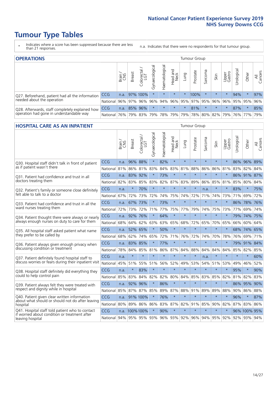- \* Indicates where a score has been suppressed because there are less than 21 responses.
- n.a. Indicates that there were no respondents for that tumour group.

| <b>OPERATIONS</b>                                |                      |       |               |            |                |                               |                  |          | Tumour Group            |         |         |                 |                                  |         |                |
|--------------------------------------------------|----------------------|-------|---------------|------------|----------------|-------------------------------|------------------|----------|-------------------------|---------|---------|-----------------|----------------------------------|---------|----------------|
|                                                  |                      | Brain | <b>Breast</b> | Colorectal | Gynaecological | $\overline{3}$<br>Haematologi | Head and<br>Neck | Lung     | Prostate                | Sarcoma | Skin    | Upper<br>Gastro | $\overline{\sigma}$<br>Jrologica | Other   | All<br>Cancers |
| Q27. Beforehand, patient had all the information | <b>CCG</b>           | n.a.  |               | 97% 100%   | $\star$        |                               | $\star$          | $^\star$ | 100%                    |         | $\star$ | $\star$         | 94%                              | $\star$ | 97%            |
| needed about the operation                       | National 96% 97% 96% |       |               |            | 96%            |                               |                  |          | 94% 96% 95% 97% 95% 96% |         |         | $96\%$          |                                  | 95% 95% | 96%            |
| Q28. Afterwards, staff completely explained how  | <b>CCG</b>           | n.a.  |               | 85% 96%    | $\star$        | $\star$                       | $\star$          | $\star$  | 81%                     | $\star$ | $\star$ | $\star$         | 87%                              | $\star$ | 85%            |
| operation had gone in understandable way         | National             | 76%   |               |            |                | 79% 83% 79% 78% 79%           |                  |          | 79% 78% 80% 82% 79%     |         |         |                 |                                  | 76% 77% | 79%            |

#### **HOSPITAL CARE AS AN INPATIENT** Tumour Group

|                                                                                                  |            | Brain | Breast          | Colorectal /<br>LGT | Gynaecological | Haematological | Head and<br>Neck | Lung        | Prostate | Sarcoma         | Skin    | Upper<br>Gastro | Urological | Other        | All<br>Cancers |
|--------------------------------------------------------------------------------------------------|------------|-------|-----------------|---------------------|----------------|----------------|------------------|-------------|----------|-----------------|---------|-----------------|------------|--------------|----------------|
| Q30. Hospital staff didn't talk in front of patient                                              | CCG        | n.a.  | 96%             | 88%                 | $\star$        | 82%            | $\star$          | $\star$     | $\star$  | $\star$         | $\star$ | $\star$         |            | 86% 96% 89%  |                |
| as if patient wasn't there                                                                       | National   | 81%   | 86%             | 81%                 | 83%            | 84%            | 83%              | 81%         | 88%      | 86%             | 86%     | 81%             | 83%        | 82%          | 84%            |
| Q31. Patient had confidence and trust in all                                                     | CCG        | n.a.  | 83%             | 92%                 |                | 73%            | $\star$          | $\star$     | $\star$  | $\star$         | $\star$ |                 |            | 86% 91% 87%  |                |
| doctors treating them                                                                            | National   | 82%   | 83%             | 85%                 | 83%            | 82%            |                  | 87% 83%     | 89%      | 86%             | 85%     | 81%             | 85%        | 80%          | 84%            |
| Q32. Patient's family or someone close definitely                                                | CCG        | n.a.  | $\star$         | 70%                 | $\star$        | $\star$        | $\star$          | $\star$     | $\star$  | n.a.            |         |                 | 83%        | $\star$      | 75%            |
| felt able to talk to a doctor                                                                    | National   | 67%   | 72%             | 73%                 | 72%            | 74%            | 75%              | 74%         | 72%      | 71%             | 74%     | 73%             | 71%        | 69%          | 72%            |
| Q33. Patient had confidence and trust in all the                                                 | CCG        | n.a.  | 67% 73%         |                     | $\star$        | 73%            | $\star$          | $\star$     | $\star$  | $\star$         | $\star$ | $\star$         |            | 86% 78%      | 76%            |
| ward nurses treating them                                                                        | National   | 72%   | 73%             | 72%                 | 71%            | 77%            | 75%              | 77%         | 79%      | 74%             | 75%     | 73%             | 77%        | 69%          | 74%            |
| Q34. Patient thought there were always or nearly                                                 | CCG        | n.a.  | 92%             | 76%                 | $\star$        | 64%            | $\star$          | $\star$     | $\star$  | $\star$         | $\star$ | $\star$         | 79%        | 74%          | 75%            |
| always enough nurses on duty to care for them                                                    | National   | 68%   | 64%             | 62%                 | 63%            | 63%            | 65%              | 68%         | 72%      | 65%             | 70%     | 65%             | 66%        | 60%          | 64%            |
| Q35. All hospital staff asked patient what name                                                  | CCG        | n.a.  | 52% 65%         |                     | $\star$        | 50%            | $\star$          | $\star$     | $\star$  | $\star$         | $\star$ |                 |            | 68% 74%      | 65%            |
| they prefer to be called by                                                                      | National   | 68%   | 62%             | 74%                 | 65%            | 72%            | 71%              | 76%         | 72%      | 74%             | 70%     | 78%             | 76%        | 69%          | 71%            |
| Q36. Patient always given enough privacy when                                                    | CCG        | n.a.  | 83%             | 85%                 |                | 77%            | $\star$          | $\star$     | $\star$  | $\star$         | $\star$ | $\star$         | 79%        | 91%          | 84%            |
| discussing condition or treatment                                                                | National   | 78%   | 84%             | 85%                 | 81%            | 86%            |                  | 87% 84%     | 88%      | 84%             | 84%     | 84%             | 85%        | 82%          | 85%            |
| Q37. Patient definitely found hospital staff to                                                  | <b>CCG</b> | n.a.  | $\star$         | $\star$             | $\star$        | $\star$        | $\star$          | $\star$     | $\star$  | n.a.            | $\star$ | $\star$         | $\star$    | $\star$      | 60%            |
| discuss worries or fears during their inpatient visit                                            | National   | 45%   | 51%             | 55%                 |                | 51% 56%        | 52%              | 49%         | 53%      | 54%             | 51%     | 53%             | 49%        | 46%          | 52%            |
| Q38. Hospital staff definitely did everything they                                               | CCG        | n.a.  | $\ast$          | 83%                 | $\star$        | $\star$        | $\star$          | $\star$     | $\star$  | $\star$         | $\star$ | $\star$         | 95%        | $\star$      | 90%            |
| could to help control pain                                                                       | National   | 85%   | 83%             | 84%                 | 82%            | 82%            | 80%              | 84%         | 85%      | 83%             | 85%     | 82%             | 81%        | 82%          | 83%            |
| Q39. Patient always felt they were treated with                                                  | CCG        | n.a.  | 92%             | 96%                 | $\star$        | 86%            | $\star$          | $\star$     | $\star$  | $\star$         | $\star$ |                 |            | 86% 95%      | 90%            |
| respect and dignity while in hospital                                                            | National   | 85%   | 87%             | 87%                 | 85%            | 89%            |                  | 87% 88%     | 91%      | 89%             | 89%     | 88%             | 90%        | 86%          | 88%            |
| Q40. Patient given clear written information<br>about what should or should not do after leaving | CCG        | n.a.  |                 | 91% 100%            |                | 76%            | $\star$          | $\star$     | $\star$  | $\star$         | $\star$ | $\star$         | 96%        | $\star$      | 87%            |
| hospital                                                                                         | National   | 80%   | 89%             | 86%                 | 86%            | 83%            |                  | 87% 82%     | 91%      | 85%             | 90%     | 82%             | 87%        | 83%          | 86%            |
| Q41. Hospital staff told patient who to contact<br>if worried about condition or treatment after | CCG        |       | n.a. 100%100%   |                     | $\star$        | 90%            | $\star$          | $\star$     | $\star$  | $\star$         | $\star$ |                 |            | 96% 100% 95% |                |
| leaving hospital                                                                                 | National   |       | 94% 95% 95% 93% |                     |                |                |                  | 96% 93% 92% |          | 96% 94% 95% 92% |         |                 |            | 92% 93% 94%  |                |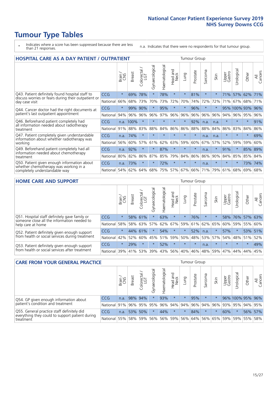- \* Indicates where a score has been suppressed because there are less than 21 responses.
- n.a. Indicates that there were no respondents for that tumour group.

| <b>HOSPITAL CARE AS A DAY PATIENT / OUTPATIENT</b>                                         |            |         |               |                       |                |                |                         |         | <b>Tumour Group</b> |         |         |                 |              |         |                |
|--------------------------------------------------------------------------------------------|------------|---------|---------------|-----------------------|----------------|----------------|-------------------------|---------|---------------------|---------|---------|-----------------|--------------|---------|----------------|
|                                                                                            |            | Brain   | <b>Breast</b> | olorectal<br>LGT<br>Ū | Gynaecological | Haematological | ead and<br>Neck<br>Head | Lung    | Prostate            | Sarcoma | Skin    | Upper<br>Gastro | Urological   | Other   | All<br>Cancers |
| Q43. Patient definitely found hospital staff to                                            | <b>CCG</b> | $\star$ | 69%           | 78%                   | $\star$        | 78%            | $\star$                 | $\star$ | 81%                 | $\star$ | $\star$ | 71%             | 57%          | 62%     | 71%            |
| discuss worries or fears during their outpatient or<br>day case visit                      | National   | 66%     | 68%           | 73%                   | 70%            | 73%            | 72%                     | 70%     | 74%                 | 72%     | 72%     | 71%             | 67%          | 68%     | 71%            |
| Q44. Cancer doctor had the right documents at                                              | <b>CCG</b> | $\star$ | 99%           | 90%                   | $^\star$       | 95%            | $\star$                 | $\star$ | 96%                 | $\ast$  | $\ast$  |                 | 95% 100% 93% |         | 96%            |
| patient's last outpatient appointment                                                      | National   | 94%     | 96%           | 96%                   | 96%            | 97%            | 96%                     | 96%     | 96%                 | 96%     | 96%     | 94%             | 96%          | 95%     | 96%            |
| Q46. Beforehand patient completely had<br>all information needed about radiotherapy        | CCG        |         | n.a. 100%     | $\star$               |                | $\star$        | $\star$                 | $\star$ | 92%                 | n.a.    | n.a.    | $\star$         | $\star$      | $\star$ | 91%            |
| treatment                                                                                  | National   | 91%     | 88%           | 83%                   | 88%            | 84%            | 86%                     | 86%     | 88%                 | 88%     | 84%     | 86%             | 83%          | 84%     | 86%            |
| Q47. Patient completely given understandable<br>information about whether radiotherapy was | <b>CCG</b> | n.a.    | 74%           | $\star$               | $\star$        | ÷              | $\star$                 | $\star$ | $\star$             | n.a.    | n.a.    | $\star$         | ÷            | $\ast$  | 69%            |
| working                                                                                    | National   | 56%     | 60%           | 57%                   | 61%            | 62%            | 63%                     | 59%     | 60%                 | 67%     | 57%     | 52%             | 59%          | 59%     | 60%            |
| Q49. Beforehand patient completely had all                                                 | CCG        | n.a.    | 92%           | $\star$               | $\star$        | 87%            | $\star$                 | $\star$ | $\star$             | n.a.    | $\star$ | 91%             | $\star$      | 85%     | 89%            |
| information needed about chemotherapy<br>treatment                                         | National   | 80%     | 82%           | 86%                   | 87%            | 85%            | 79%                     | 84%     | 86%                 | 86%     | 90%     | 84%             | 85%          | 85%     | 84%            |
| Q50. Patient given enough information about<br>whether chemotherapy was working in a       | <b>CCG</b> | n.a.    | 73%           | $\star$               | $\star$        | 72%            | $\star$                 | $\star$ | $\star$             | n.a.    | $\star$ |                 | $\star$      | 73%     | 74%            |
| completely understandable way                                                              | National   | 54%     | 62%           | 64%                   | 68%            | 75%            |                         | 57% 67% | 66%                 | 71%     | 79%     | 61%             | 68%          | 69%     | 68%            |

#### **HOME CARE AND SUPPORT** Tumour Group

|                                                                                                                   |            | Brain<br>CNS | <b>Breast</b> | Colorectal | $\overline{\sigma}$<br>Gynaecologic | Haematological | ad and<br>Neck<br>Head | Lung    | Prostate | Sarcoma  | Skin    | Upper<br>Gastro | Urological  | Other   | All<br>Cancers |
|-------------------------------------------------------------------------------------------------------------------|------------|--------------|---------------|------------|-------------------------------------|----------------|------------------------|---------|----------|----------|---------|-----------------|-------------|---------|----------------|
| Q51. Hospital staff definitely gave family or<br>someone close all the information needed to<br>help care at home | <b>CCG</b> | $\star$      |               | 58% 61%    | $\star$                             | 63%            | $\star$                | $\star$ | 76%      | $^\star$ |         | 58%             | 76%         | 57%     | 63%            |
|                                                                                                                   | National   | 58%          | 58%           | 63%        | 57%                                 | 62%            | 67%                    | 59%     | 61%      |          | 62% 65% | 60%             | 59%         | 55%     | 60%            |
| Q52. Patient definitely given enough support<br>from health or social services during treatment                   | <b>CCG</b> | $\star$      |               | 44% 61%    | $\star$                             | 54%            | $\star$                | $\star$ | 52%      | n.a.     |         | 57%             | $\star$     | 53% 51% |                |
|                                                                                                                   | National   | 42%          | 52%           | 60%        |                                     | 45% 51%        | 59%                    | 50%     | 48%      |          | 53% 57% |                 | 54% 48% 51% |         | 52%            |
| Q53. Patient definitely given enough support<br>from health or social services after treatment                    | <b>CCG</b> | $\star$      | 29%           |            | $\star$                             | 52%            | $\star$                | $\star$ | $\star$  | n.a.     | $\star$ | $\star$         | $\star$     | $\star$ | 49%            |
|                                                                                                                   | National   | 39%          |               | 41% 53%    | 39%                                 | 43%            | 56%                    | 40%     | 46%      |          | 48% 59% | 47%             | 44%         | 44%     | 45%            |

| <b>CARE FROM YOUR GENERAL PRACTICE</b>                                                                     |              |        |               |                        |               |                |                  | <b>Tumour Group</b> |          |         |      |                 |                                                     |       |                |  |  |
|------------------------------------------------------------------------------------------------------------|--------------|--------|---------------|------------------------|---------------|----------------|------------------|---------------------|----------|---------|------|-----------------|-----------------------------------------------------|-------|----------------|--|--|
|                                                                                                            |              | Brain, | <b>Breast</b> | ╮<br>Colorectal<br>LGT | Gynaecologica | Haematological | Head and<br>Neck | Lung                | Prostate | Sarcoma | Skin | Upper<br>Gastro | $\sigma$<br>Urologica                               | Other | All<br>Cancers |  |  |
| Q54. GP given enough information about<br>patient's condition and treatment                                | CCG          | n.a.   | 98% 94%       |                        |               | 93%            | $\star$          |                     | 95%      | $\star$ |      |                 | 96% 100% 95% 96%                                    |       |                |  |  |
|                                                                                                            | National 91% |        |               |                        | 96% 95% 95%   |                |                  |                     |          |         |      |                 | 96% 94% 94% 96% 94% 96% 93% 95% 94% 95%             |       |                |  |  |
| Q55. General practice staff definitely did<br>everything they could to support patient during<br>treatment | <b>CCG</b>   | n.a.   |               | 53% 50%                | $\star$       | 44%            | $\star$          | $\star$             | 84%      | $\star$ |      | 60%             | $\star$                                             |       | 56% 57%        |  |  |
|                                                                                                            | National 55% |        |               | 58% 59%                | 56%           |                |                  |                     |          |         |      |                 | 56%   59%   56%   64%   56%   65%   59%   59%   55% |       | 58%            |  |  |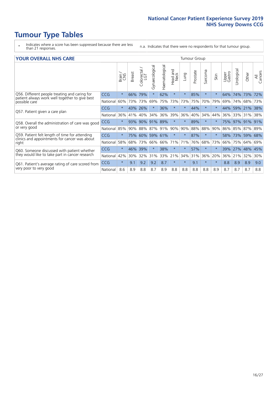### **Tumour Type Tables**

- \* Indicates where a score has been suppressed because there are less than 21 responses.
- n.a. Indicates that there were no respondents for that tumour group.

#### **YOUR OVERALL NHS CARE** THE TWO CONTROLLER THE THE THROUP CHANGE THE TUMOUR GROUP

|            | Brain   | Breast | olorectal.<br>LGT<br>$\cup$ | Gynaecological        | Haematological | ead and<br>Neck<br>Head | Lung     | Prostate | arcoma<br>ιñ | Skin    | Upper<br>Gastro | Urologica | Other                 | All<br>Cancers                                     |
|------------|---------|--------|-----------------------------|-----------------------|----------------|-------------------------|----------|----------|--------------|---------|-----------------|-----------|-----------------------|----------------------------------------------------|
| <b>CCG</b> | $\star$ | 66%    | 79%                         | $\star$               | 62%            | $\star$                 | $\star$  | 85%      | $\star$      | $\star$ | 64%             | 74%       | 73%                   | 72%                                                |
| National   | 60%     |        | 73%                         | 69%                   | 75%            | 73%                     | 73%      | 75%      | 70%          | 79%     | 69%             | 74%       |                       | 73%                                                |
| <b>CCG</b> | $\star$ |        |                             |                       | 36%            | $\star$                 | $^\star$ | 44%      | $\star$      | $\star$ | 44%             | 59%       |                       | 38%                                                |
| National   | 36%     | 41%    | 40%                         | 34%                   | 36%            | 39%                     | 36%      | 40%      | 34%          | 44%     | 36%             | 33%       | 31%                   | 38%                                                |
| <b>CCG</b> | $\star$ | 93%    | 90%                         | 91%                   | 89%            | $\star$                 | $\star$  | 89%      | $\star$      | $\star$ |                 |           |                       | 91%                                                |
| National   | 85%     | 90%    |                             | 87%                   | 91%            | 90%                     | 90%      |          | 88%          | 90%     | 86%             |           |                       |                                                    |
| <b>CCG</b> | $\star$ | 75%    |                             |                       |                | $\star$                 | $^\star$ | 87%      | $\star$      | $\star$ | 58%             |           |                       |                                                    |
| National   | 58%     | 68%    | 73%                         | 66%                   | 66%            | 71%                     | 71%      | 76%      | 68%          | 73%     | 66%             | 75%       | 64%                   | 69%                                                |
| CCG        | $\star$ | 46%    | 39%                         | $\star$               | 38%            | $\star$                 | $^\star$ | 57%      | $\star$      | $\ast$  | 39%             |           |                       | 45%                                                |
| National   | 42%     | 30%    | 32%                         | 31%                   | 33%            | 21%                     | 34%      |          | 36%          | 20%     | 36%             | 21%       | 32%                   | 30%                                                |
| <b>CCG</b> | $\star$ | 9.1    | 9.2                         | 9.2                   | 8.7            | $\star$                 | $\star$  | 9.1      | $\star$      | $\star$ | 8.8             | 8.9       | 8.9                   | 9.0                                                |
| National   | 8.6     | 8.9    | 8.8                         | 8.7                   | 8.9            | 8.8                     | 8.8      | 8.8      | 8.8          | 8.9     | 8.7             | 8.7       | 8.7                   | 8.8                                                |
|            |         |        |                             | 73%<br>43% 26%<br>88% |                | 60% 59% 61%             |          |          | 88%<br>31%   |         |                 |           | 75% 97%<br>85%<br>27% | 68%<br>21%<br>91%<br>87% 89%<br>73% 59% 68%<br>48% |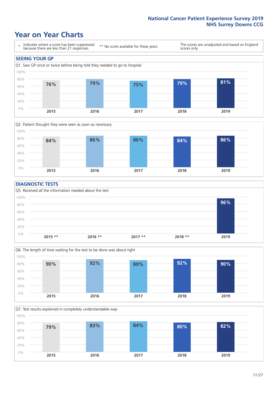### **Year on Year Charts**





#### **DIAGNOSTIC TESTS**





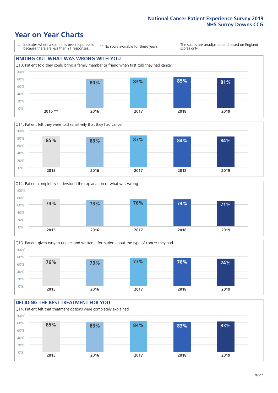### **Year on Year Charts**

\* Indicates where a score has been suppressed because there are less than 21 responses.

\*\* No score available for these years.

The scores are unadjusted and based on England scores only.









#### **DECIDING THE BEST TREATMENT FOR YOU**

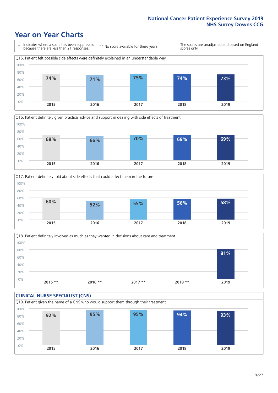### **Year on Year Charts**







Q18. Patient definitely involved as much as they wanted in decisions about care and treatment  $0%$ 20% 40% 60% 80% 100% **2015 \*\* 2016 \*\* 2017 \*\* 2018 \*\* 2019 81%**

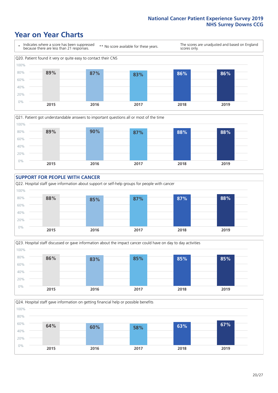### **Year on Year Charts**









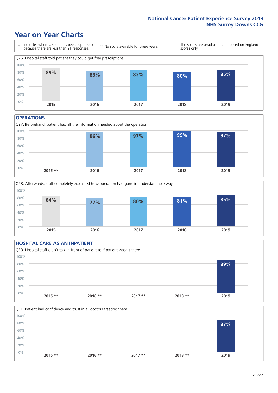### **Year on Year Charts**



#### **OPERATIONS**







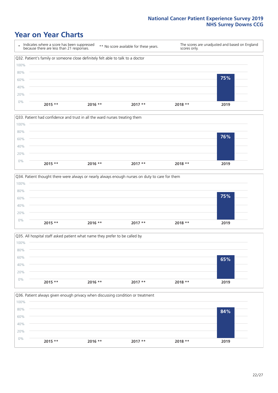### **Year on Year Charts**









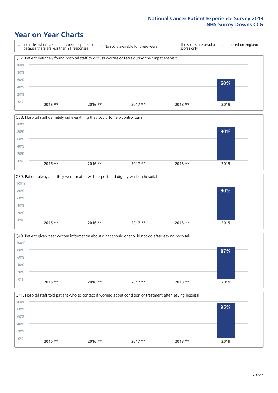### **Year on Year Charts**

\* Indicates where a score has been suppressed because there are less than 21 responses. \*\* No score available for these years. The scores are unadjusted and based on England scores only. Q37. Patient definitely found hospital staff to discuss worries or fears during their inpatient visit 0% 20% 40% 60% 80% 100% **2015 \*\* 2016 \*\* 2017 \*\* 2018 \*\* 2019 60%**







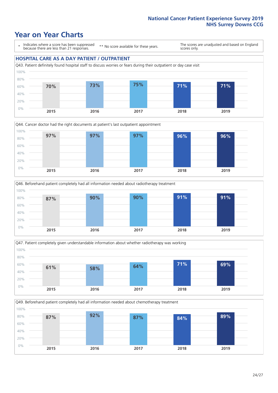### **Year on Year Charts**

0%

\* Indicates where a score has been suppressed because there are less than 21 responses.

\*\* No score available for these years.

The scores are unadjusted and based on England scores only.

#### **HOSPITAL CARE AS A DAY PATIENT / OUTPATIENT**









**2015 2016 2017 2018 2019**

Q49. Beforehand patient completely had all information needed about chemotherapy treatment 20% 40% 60% 80% 100% **87% 92% 87% 84% 89%**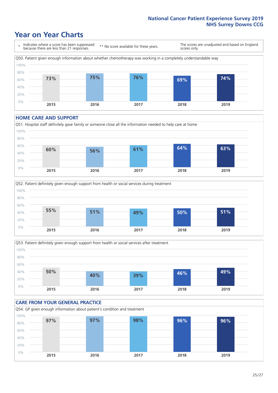### **Year on Year Charts**



#### **HOME CARE AND SUPPORT**







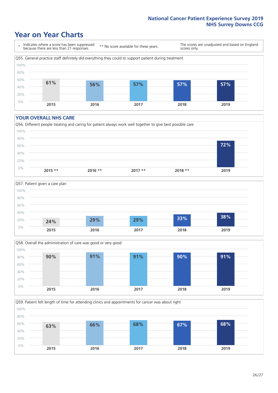### **Year on Year Charts**

\* Indicates where a score has been suppressed because there are less than 21 responses.

\*\* No score available for these years.

The scores are unadjusted and based on England scores only.



#### **YOUR OVERALL NHS CARE**







Q59. Patient felt length of time for attending clinics and appointments for cancer was about right 100%